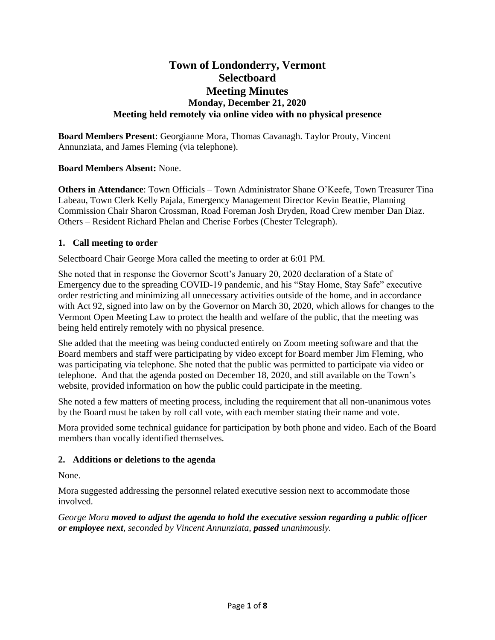# **Town of Londonderry, Vermont Selectboard Meeting Minutes Monday, December 21, 2020 Meeting held remotely via online video with no physical presence**

**Board Members Present**: Georgianne Mora, Thomas Cavanagh. Taylor Prouty, Vincent Annunziata, and James Fleming (via telephone).

# **Board Members Absent:** None.

**Others in Attendance**: Town Officials – Town Administrator Shane O'Keefe, Town Treasurer Tina Labeau, Town Clerk Kelly Pajala, Emergency Management Director Kevin Beattie, Planning Commission Chair Sharon Crossman, Road Foreman Josh Dryden, Road Crew member Dan Diaz. Others – Resident Richard Phelan and Cherise Forbes (Chester Telegraph).

### **1. Call meeting to order**

Selectboard Chair George Mora called the meeting to order at 6:01 PM.

She noted that in response the Governor Scott's January 20, 2020 declaration of a State of Emergency due to the spreading COVID-19 pandemic, and his "Stay Home, Stay Safe" executive order restricting and minimizing all unnecessary activities outside of the home, and in accordance with Act 92, signed into law on by the Governor on March 30, 2020, which allows for changes to the Vermont Open Meeting Law to protect the health and welfare of the public, that the meeting was being held entirely remotely with no physical presence.

She added that the meeting was being conducted entirely on Zoom meeting software and that the Board members and staff were participating by video except for Board member Jim Fleming, who was participating via telephone. She noted that the public was permitted to participate via video or telephone. And that the agenda posted on December 18, 2020, and still available on the Town's website, provided information on how the public could participate in the meeting.

She noted a few matters of meeting process, including the requirement that all non-unanimous votes by the Board must be taken by roll call vote, with each member stating their name and vote.

Mora provided some technical guidance for participation by both phone and video. Each of the Board members than vocally identified themselves.

### **2. Additions or deletions to the agenda**

None.

Mora suggested addressing the personnel related executive session next to accommodate those involved.

*George Mora moved to adjust the agenda to hold the executive session regarding a public officer or employee next, seconded by Vincent Annunziata, passed unanimously.*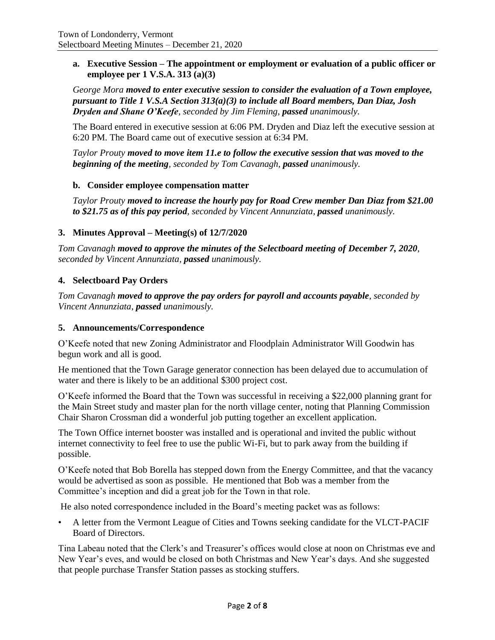**a. Executive Session – The appointment or employment or evaluation of a public officer or employee per 1 V.S.A. 313 (a)(3)**

*George Mora moved to enter executive session to consider the evaluation of a Town employee, pursuant to Title 1 V.S.A Section 313(a)(3) to include all Board members, Dan Diaz, Josh Dryden and Shane O'Keefe, seconded by Jim Fleming, passed unanimously.*

The Board entered in executive session at 6:06 PM. Dryden and Diaz left the executive session at 6:20 PM. The Board came out of executive session at 6:34 PM.

*Taylor Prouty moved to move item 11.e to follow the executive session that was moved to the beginning of the meeting, seconded by Tom Cavanagh, passed unanimously.*

### **b. Consider employee compensation matter**

*Taylor Prouty moved to increase the hourly pay for Road Crew member Dan Diaz from \$21.00 to \$21.75 as of this pay period, seconded by Vincent Annunziata, passed unanimously.*

# **3. Minutes Approval – Meeting(s) of 12/7/2020**

*Tom Cavanagh moved to approve the minutes of the Selectboard meeting of December 7, 2020, seconded by Vincent Annunziata, passed unanimously.*

# **4. Selectboard Pay Orders**

*Tom Cavanagh moved to approve the pay orders for payroll and accounts payable, seconded by Vincent Annunziata, passed unanimously.*

### **5. Announcements/Correspondence**

O'Keefe noted that new Zoning Administrator and Floodplain Administrator Will Goodwin has begun work and all is good.

He mentioned that the Town Garage generator connection has been delayed due to accumulation of water and there is likely to be an additional \$300 project cost.

O'Keefe informed the Board that the Town was successful in receiving a \$22,000 planning grant for the Main Street study and master plan for the north village center, noting that Planning Commission Chair Sharon Crossman did a wonderful job putting together an excellent application.

The Town Office internet booster was installed and is operational and invited the public without internet connectivity to feel free to use the public Wi-Fi, but to park away from the building if possible.

O'Keefe noted that Bob Borella has stepped down from the Energy Committee, and that the vacancy would be advertised as soon as possible. He mentioned that Bob was a member from the Committee's inception and did a great job for the Town in that role.

He also noted correspondence included in the Board's meeting packet was as follows:

• A letter from the Vermont League of Cities and Towns seeking candidate for the VLCT-PACIF Board of Directors.

Tina Labeau noted that the Clerk's and Treasurer's offices would close at noon on Christmas eve and New Year's eves, and would be closed on both Christmas and New Year's days. And she suggested that people purchase Transfer Station passes as stocking stuffers.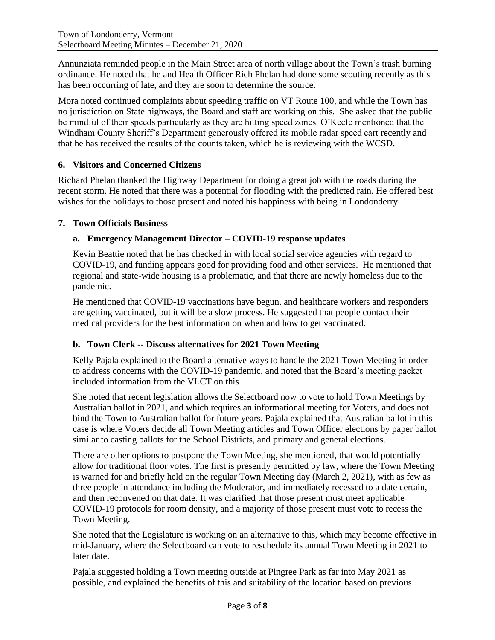Annunziata reminded people in the Main Street area of north village about the Town's trash burning ordinance. He noted that he and Health Officer Rich Phelan had done some scouting recently as this has been occurring of late, and they are soon to determine the source.

Mora noted continued complaints about speeding traffic on VT Route 100, and while the Town has no jurisdiction on State highways, the Board and staff are working on this. She asked that the public be mindful of their speeds particularly as they are hitting speed zones. O'Keefe mentioned that the Windham County Sheriff's Department generously offered its mobile radar speed cart recently and that he has received the results of the counts taken, which he is reviewing with the WCSD.

# **6. Visitors and Concerned Citizens**

Richard Phelan thanked the Highway Department for doing a great job with the roads during the recent storm. He noted that there was a potential for flooding with the predicted rain. He offered best wishes for the holidays to those present and noted his happiness with being in Londonderry.

# **7. Town Officials Business**

# **a. Emergency Management Director – COVID-19 response updates**

Kevin Beattie noted that he has checked in with local social service agencies with regard to COVID-19, and funding appears good for providing food and other services. He mentioned that regional and state-wide housing is a problematic, and that there are newly homeless due to the pandemic.

He mentioned that COVID-19 vaccinations have begun, and healthcare workers and responders are getting vaccinated, but it will be a slow process. He suggested that people contact their medical providers for the best information on when and how to get vaccinated.

### **b. Town Clerk -- Discuss alternatives for 2021 Town Meeting**

Kelly Pajala explained to the Board alternative ways to handle the 2021 Town Meeting in order to address concerns with the COVID-19 pandemic, and noted that the Board's meeting packet included information from the VLCT on this.

She noted that recent legislation allows the Selectboard now to vote to hold Town Meetings by Australian ballot in 2021, and which requires an informational meeting for Voters, and does not bind the Town to Australian ballot for future years. Pajala explained that Australian ballot in this case is where Voters decide all Town Meeting articles and Town Officer elections by paper ballot similar to casting ballots for the School Districts, and primary and general elections.

There are other options to postpone the Town Meeting, she mentioned, that would potentially allow for traditional floor votes. The first is presently permitted by law, where the Town Meeting is warned for and briefly held on the regular Town Meeting day (March 2, 2021), with as few as three people in attendance including the Moderator, and immediately recessed to a date certain, and then reconvened on that date. It was clarified that those present must meet applicable COVID-19 protocols for room density, and a majority of those present must vote to recess the Town Meeting.

She noted that the Legislature is working on an alternative to this, which may become effective in mid-January, where the Selectboard can vote to reschedule its annual Town Meeting in 2021 to later date.

Pajala suggested holding a Town meeting outside at Pingree Park as far into May 2021 as possible, and explained the benefits of this and suitability of the location based on previous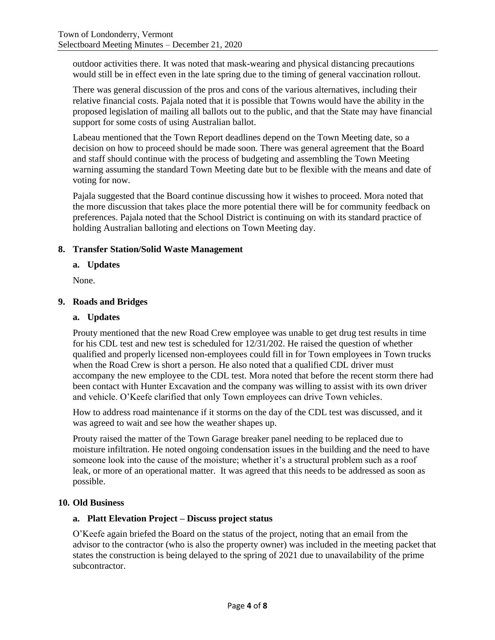outdoor activities there. It was noted that mask-wearing and physical distancing precautions would still be in effect even in the late spring due to the timing of general vaccination rollout.

There was general discussion of the pros and cons of the various alternatives, including their relative financial costs. Pajala noted that it is possible that Towns would have the ability in the proposed legislation of mailing all ballots out to the public, and that the State may have financial support for some costs of using Australian ballot.

Labeau mentioned that the Town Report deadlines depend on the Town Meeting date, so a decision on how to proceed should be made soon. There was general agreement that the Board and staff should continue with the process of budgeting and assembling the Town Meeting warning assuming the standard Town Meeting date but to be flexible with the means and date of voting for now.

Pajala suggested that the Board continue discussing how it wishes to proceed. Mora noted that the more discussion that takes place the more potential there will be for community feedback on preferences. Pajala noted that the School District is continuing on with its standard practice of holding Australian balloting and elections on Town Meeting day.

# **8. Transfer Station/Solid Waste Management**

### **a. Updates**

None.

# **9. Roads and Bridges**

### **a. Updates**

Prouty mentioned that the new Road Crew employee was unable to get drug test results in time for his CDL test and new test is scheduled for 12/31/202. He raised the question of whether qualified and properly licensed non-employees could fill in for Town employees in Town trucks when the Road Crew is short a person. He also noted that a qualified CDL driver must accompany the new employee to the CDL test. Mora noted that before the recent storm there had been contact with Hunter Excavation and the company was willing to assist with its own driver and vehicle. O'Keefe clarified that only Town employees can drive Town vehicles.

How to address road maintenance if it storms on the day of the CDL test was discussed, and it was agreed to wait and see how the weather shapes up.

Prouty raised the matter of the Town Garage breaker panel needing to be replaced due to moisture infiltration. He noted ongoing condensation issues in the building and the need to have someone look into the cause of the moisture; whether it's a structural problem such as a roof leak, or more of an operational matter. It was agreed that this needs to be addressed as soon as possible.

### **10. Old Business**

# **a. Platt Elevation Project – Discuss project status**

O'Keefe again briefed the Board on the status of the project, noting that an email from the advisor to the contractor (who is also the property owner) was included in the meeting packet that states the construction is being delayed to the spring of 2021 due to unavailability of the prime subcontractor.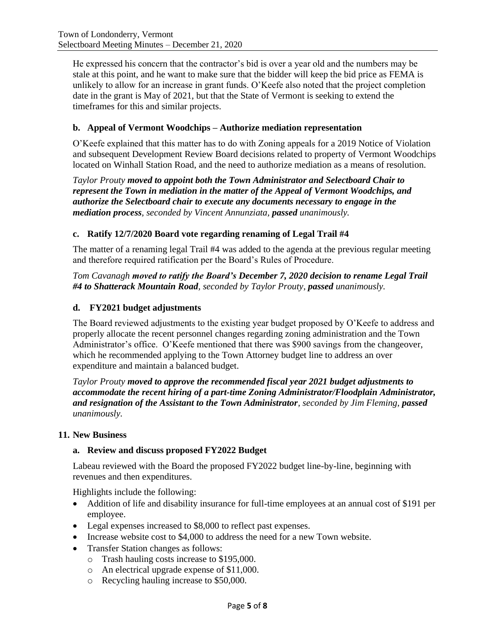He expressed his concern that the contractor's bid is over a year old and the numbers may be stale at this point, and he want to make sure that the bidder will keep the bid price as FEMA is unlikely to allow for an increase in grant funds. O'Keefe also noted that the project completion date in the grant is May of 2021, but that the State of Vermont is seeking to extend the timeframes for this and similar projects.

### **b. Appeal of Vermont Woodchips – Authorize mediation representation**

O'Keefe explained that this matter has to do with Zoning appeals for a 2019 Notice of Violation and subsequent Development Review Board decisions related to property of Vermont Woodchips located on Winhall Station Road, and the need to authorize mediation as a means of resolution.

*Taylor Prouty moved to appoint both the Town Administrator and Selectboard Chair to represent the Town in mediation in the matter of the Appeal of Vermont Woodchips, and authorize the Selectboard chair to execute any documents necessary to engage in the mediation process, seconded by Vincent Annunziata, passed unanimously.*

# **c. Ratify 12/7/2020 Board vote regarding renaming of Legal Trail #4**

The matter of a renaming legal Trail #4 was added to the agenda at the previous regular meeting and therefore required ratification per the Board's Rules of Procedure.

*Tom Cavanagh moved to ratify the Board's December 7, 2020 decision to rename Legal Trail #4 to Shatterack Mountain Road, seconded by Taylor Prouty, passed unanimously.*

### **d. FY2021 budget adjustments**

The Board reviewed adjustments to the existing year budget proposed by O'Keefe to address and properly allocate the recent personnel changes regarding zoning administration and the Town Administrator's office. O'Keefe mentioned that there was \$900 savings from the changeover, which he recommended applying to the Town Attorney budget line to address an over expenditure and maintain a balanced budget.

*Taylor Prouty moved to approve the recommended fiscal year 2021 budget adjustments to accommodate the recent hiring of a part-time Zoning Administrator/Floodplain Administrator, and resignation of the Assistant to the Town Administrator, seconded by Jim Fleming, passed unanimously.*

### **11. New Business**

### **a. Review and discuss proposed FY2022 Budget**

Labeau reviewed with the Board the proposed FY2022 budget line-by-line, beginning with revenues and then expenditures.

Highlights include the following:

- Addition of life and disability insurance for full-time employees at an annual cost of \$191 per employee.
- Legal expenses increased to \$8,000 to reflect past expenses.
- Increase website cost to \$4,000 to address the need for a new Town website.
- Transfer Station changes as follows:
	- o Trash hauling costs increase to \$195,000.
	- o An electrical upgrade expense of \$11,000.
	- o Recycling hauling increase to \$50,000.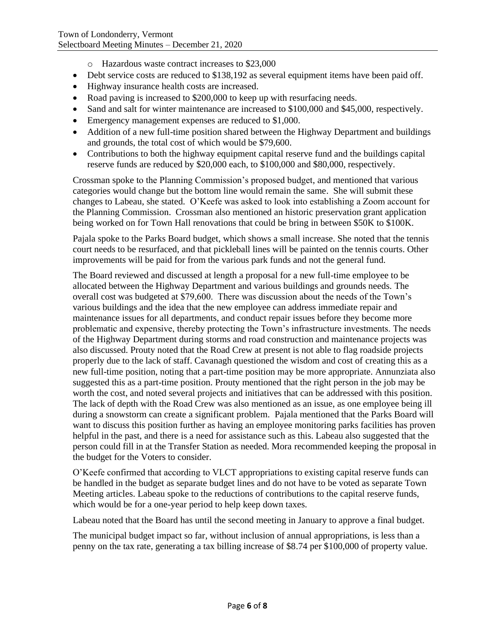- o Hazardous waste contract increases to \$23,000
- Debt service costs are reduced to \$138,192 as several equipment items have been paid off.
- Highway insurance health costs are increased.
- Road paving is increased to \$200,000 to keep up with resurfacing needs.
- Sand and salt for winter maintenance are increased to \$100,000 and \$45,000, respectively.
- Emergency management expenses are reduced to \$1,000.
- Addition of a new full-time position shared between the Highway Department and buildings and grounds, the total cost of which would be \$79,600.
- Contributions to both the highway equipment capital reserve fund and the buildings capital reserve funds are reduced by \$20,000 each, to \$100,000 and \$80,000, respectively.

Crossman spoke to the Planning Commission's proposed budget, and mentioned that various categories would change but the bottom line would remain the same. She will submit these changes to Labeau, she stated. O'Keefe was asked to look into establishing a Zoom account for the Planning Commission. Crossman also mentioned an historic preservation grant application being worked on for Town Hall renovations that could be bring in between \$50K to \$100K.

Pajala spoke to the Parks Board budget, which shows a small increase. She noted that the tennis court needs to be resurfaced, and that pickleball lines will be painted on the tennis courts. Other improvements will be paid for from the various park funds and not the general fund.

The Board reviewed and discussed at length a proposal for a new full-time employee to be allocated between the Highway Department and various buildings and grounds needs. The overall cost was budgeted at \$79,600. There was discussion about the needs of the Town's various buildings and the idea that the new employee can address immediate repair and maintenance issues for all departments, and conduct repair issues before they become more problematic and expensive, thereby protecting the Town's infrastructure investments. The needs of the Highway Department during storms and road construction and maintenance projects was also discussed. Prouty noted that the Road Crew at present is not able to flag roadside projects properly due to the lack of staff. Cavanagh questioned the wisdom and cost of creating this as a new full-time position, noting that a part-time position may be more appropriate. Annunziata also suggested this as a part-time position. Prouty mentioned that the right person in the job may be worth the cost, and noted several projects and initiatives that can be addressed with this position. The lack of depth with the Road Crew was also mentioned as an issue, as one employee being ill during a snowstorm can create a significant problem. Pajala mentioned that the Parks Board will want to discuss this position further as having an employee monitoring parks facilities has proven helpful in the past, and there is a need for assistance such as this. Labeau also suggested that the person could fill in at the Transfer Station as needed. Mora recommended keeping the proposal in the budget for the Voters to consider.

O'Keefe confirmed that according to VLCT appropriations to existing capital reserve funds can be handled in the budget as separate budget lines and do not have to be voted as separate Town Meeting articles. Labeau spoke to the reductions of contributions to the capital reserve funds, which would be for a one-year period to help keep down taxes.

Labeau noted that the Board has until the second meeting in January to approve a final budget.

The municipal budget impact so far, without inclusion of annual appropriations, is less than a penny on the tax rate, generating a tax billing increase of \$8.74 per \$100,000 of property value.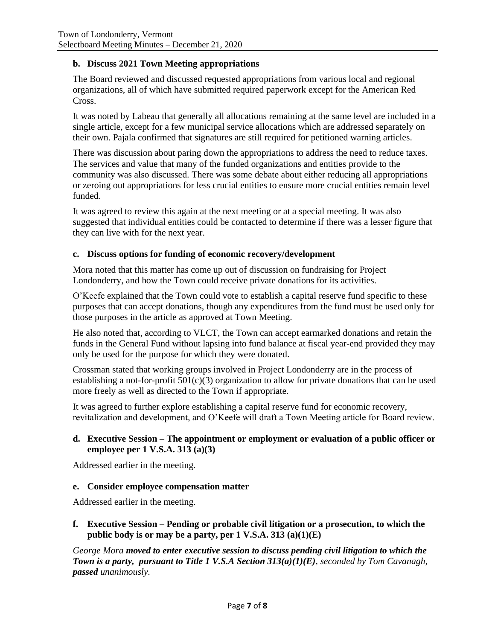# **b. Discuss 2021 Town Meeting appropriations**

The Board reviewed and discussed requested appropriations from various local and regional organizations, all of which have submitted required paperwork except for the American Red Cross.

It was noted by Labeau that generally all allocations remaining at the same level are included in a single article, except for a few municipal service allocations which are addressed separately on their own. Pajala confirmed that signatures are still required for petitioned warning articles.

There was discussion about paring down the appropriations to address the need to reduce taxes. The services and value that many of the funded organizations and entities provide to the community was also discussed. There was some debate about either reducing all appropriations or zeroing out appropriations for less crucial entities to ensure more crucial entities remain level funded.

It was agreed to review this again at the next meeting or at a special meeting. It was also suggested that individual entities could be contacted to determine if there was a lesser figure that they can live with for the next year.

### **c. Discuss options for funding of economic recovery/development**

Mora noted that this matter has come up out of discussion on fundraising for Project Londonderry, and how the Town could receive private donations for its activities.

O'Keefe explained that the Town could vote to establish a capital reserve fund specific to these purposes that can accept donations, though any expenditures from the fund must be used only for those purposes in the article as approved at Town Meeting.

He also noted that, according to VLCT, the Town can accept earmarked donations and retain the funds in the General Fund without lapsing into fund balance at fiscal year-end provided they may only be used for the purpose for which they were donated.

Crossman stated that working groups involved in Project Londonderry are in the process of establishing a not-for-profit  $501(c)(3)$  organization to allow for private donations that can be used more freely as well as directed to the Town if appropriate.

It was agreed to further explore establishing a capital reserve fund for economic recovery, revitalization and development, and O'Keefe will draft a Town Meeting article for Board review.

# **d. Executive Session – The appointment or employment or evaluation of a public officer or employee per 1 V.S.A. 313 (a)(3)**

Addressed earlier in the meeting.

### **e. Consider employee compensation matter**

Addressed earlier in the meeting.

**f. Executive Session – Pending or probable civil litigation or a prosecution, to which the public body is or may be a party, per 1 V.S.A. 313 (a)(1)(E)**

*George Mora moved to enter executive session to discuss pending civil litigation to which the Town is a party, pursuant to Title 1 V.S.A Section 313(a)(1)(E), seconded by Tom Cavanagh, passed unanimously.*